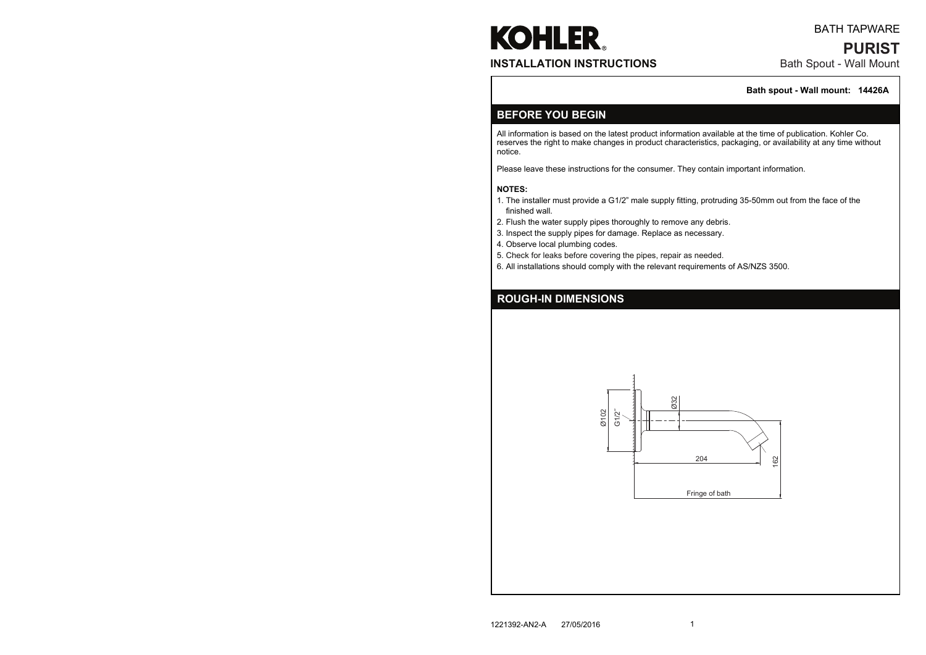All information is based on the latest product information available at the time of publication. Kohler Co. reserves the right to make changes in product characteristics, packaging, or availability at any time without notice.

Please leave these instructions for the consumer. They contain important information.

#### **NOTES:**

# **KOHLER INSTALLATION INSTRUCTIONS**

- 1. The installer must provide a G1/2" male supply fitting, protruding 35-50mm out from the face of the finished wall.
- 2. Flush the water supply pipes thoroughly to remove any debris.
- 3. Inspect the supply pipes for damage. Replace as necessary.
- 4. Observe local plumbing codes.
- 5. Check for leaks before covering the pipes, repair as needed.
- 6. All installations should comply with the relevant requirements of AS/NZS 3500.

### **BEFORE YOU BEGIN**

### **ROUGH-IN DIMENSIONS**

## Bath Spout - Wall Mount **PURIST** BATH TAPWARE

#### **Bath spout - Wall mount: 14426A**